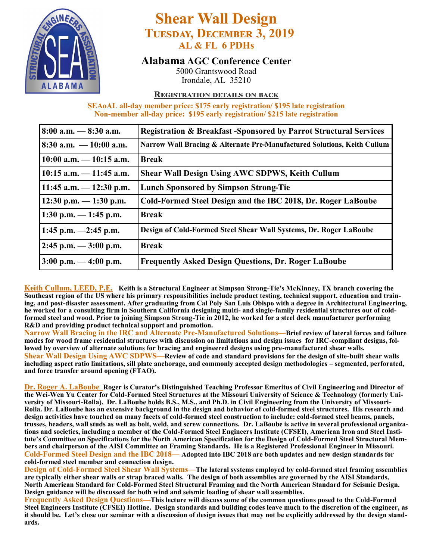

## **Shear Wall Design Tuesday, December 3, 2019 AL & FL 6 PDHs**

### **Alabama AGC Conference Center**

5000 Grantswood Road Irondale, AL 35210

#### **REGISTRATION DETAILS ON BACK**

#### **SEAoAL all-day member price: \$175 early registration/ \$195 late registration Non-member all-day price: \$195 early registration/ \$215 late registration**

| $8:00$ a.m. $-8:30$ a.m.   | <b>Registration &amp; Breakfast-Sponsored by Parrot Structural Services</b> |
|----------------------------|-----------------------------------------------------------------------------|
| 8:30 a.m. $-10:00$ a.m.    | Narrow Wall Bracing & Alternate Pre-Manufactured Solutions, Keith Cullum    |
| $10:00$ a.m. $-10:15$ a.m. | <b>Break</b>                                                                |
| $10:15$ a.m. $-11:45$ a.m. | <b>Shear Wall Design Using AWC SDPWS, Keith Cullum</b>                      |
| 11:45 a.m. $-$ 12:30 p.m.  | <b>Lunch Sponsored by Simpson Strong-Tie</b>                                |
| $12:30$ p.m. $-1:30$ p.m.  | Cold-Formed Steel Design and the IBC 2018, Dr. Roger LaBoube                |
| 1:30 p.m. $-$ 1:45 p.m.    | <b>Break</b>                                                                |
| 1:45 p.m. $-2:45$ p.m.     | Design of Cold-Formed Steel Shear Wall Systems, Dr. Roger LaBoube           |
| $2:45$ p.m. $-3:00$ p.m.   | <b>Break</b>                                                                |
| $3:00$ p.m. $-4:00$ p.m.   | <b>Frequently Asked Design Questions, Dr. Roger LaBoube</b>                 |

**Keith Cullum, LEED, P.E. Keith is a Structural Engineer at Simpson Strong-Tie's McKinney, TX branch covering the Southeast region of the US where his primary responsibilities include product testing, technical support, education and training, and post-disaster assessment. After graduating from Cal Poly San Luis Obispo with a degree in Architectural Engineering, he worked for a consulting firm in Southern California designing multi- and single-family residential structures out of coldformed steel and wood. Prior to joining Simpson Strong-Tie in 2012, he worked for a steel deck manufacturer performing R&D and providing product technical support and promotion.** 

**Narrow Wall Bracing in the IRC and Alternate Pre-Manufactured Solutions—Brief review of lateral forces and failure modes for wood frame residential structures with discussion on limitations and design issues for IRC-compliant designs, followed by overview of alternate solutions for bracing and engineered designs using pre-manufactured shear walls. Shear Wall Design Using AWC SDPWS—Review of code and standard provisions for the design of site-built shear walls including aspect ratio limitations, sill plate anchorage, and commonly accepted design methodologies – segmented, perforated, and force transfer around opening (FTAO).**

**Dr. Roger A. LaBoube Roger is Curator's Distinguished Teaching Professor Emeritus of Civil Engineering and Director of the Wei-Wen Yu Center for Cold-Formed Steel Structures at the Missouri University of Science & Technology (formerly University of Missouri-Rolla). Dr. LaBoube holds B.S., M.S., and Ph.D. in Civil Engineering from the University of Missouri-Rolla. Dr. LaBoube has an extensive background in the design and behavior of cold-formed steel structures. His research and design activities have touched on many facets of cold-formed steel construction to include: cold-formed steel beams, panels, trusses, headers, wall studs as well as bolt, weld, and screw connections. Dr. LaBoube is active in several professional organizations and societies, including a member of the Cold-Formed Steel Engineers Institute (CFSEI), American Iron and Steel Institute's Committee on Specifications for the North American Specification for the Design of Cold-Formed Steel Structural Members and chairperson of the AISI Committee on Framing Standards. He is a Registered Professional Engineer in Missouri. Cold-Formed Steel Design and the IBC 2018— Adopted into IBC 2018 are both updates and new design standards for cold-formed steel member and connection design.** 

**Design of Cold-Formed Steel Shear Wall Systems—The lateral systems employed by cold-formed steel framing assemblies are typically either shear walls or strap braced walls. The design of both assemblies are governed by the AISI Standards, North American Standard for Cold-Formed Steel Structural Framing and the North American Standard for Seismic Design. Design guidance will be discussed for both wind and seismic loading of shear wall assemblies.**

**Frequently Asked Design Questions—This lecture will discuss some of the common questions posed to the Cold-Formed Steel Engineers Institute (CFSEI) Hotline. Design standards and building codes leave much to the discretion of the engineer, as it should be. Let's close our seminar with a discussion of design issues that may not be explicitly addressed by the design standards.**